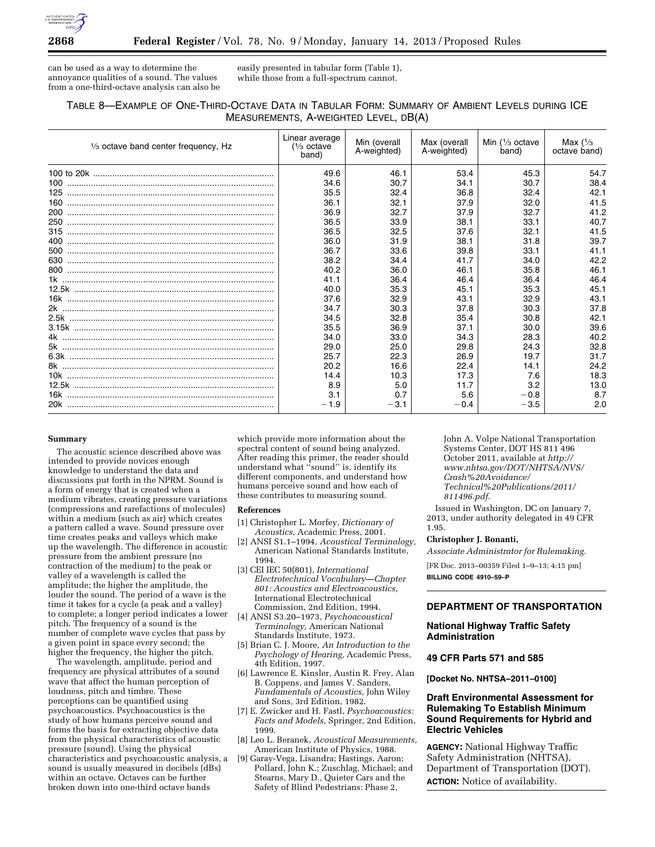

can be used as a way to determine the annoyance qualities of a sound. The values from a one-third-octave analysis can also be easily presented in tabular form (Table 1), while those from a full-spectrum cannot.

# TABLE 8—EXAMPLE OF ONE-THIRD-OCTAVE DATA IN TABULAR FORM: SUMMARY OF AMBIENT LEVELS DURING ICE MEASUREMENTS, A-WEIGHTED LEVEL, DB(A)

| $\frac{1}{3}$ octave band center frequency, Hz | Linear average<br>$\frac{1}{3}$ octave<br>band) | Min (overall<br>A-weighted) | Max (overall<br>A-weighted) | Min $\frac{1}{3}$ octave<br>band) | Max $(1/3)$<br>octave band) |
|------------------------------------------------|-------------------------------------------------|-----------------------------|-----------------------------|-----------------------------------|-----------------------------|
|                                                | 49.6                                            | 46.1                        | 53.4                        | 45.3                              | 54.7                        |
|                                                | 34.6                                            | 30.7                        | 34.1                        | 30.7                              | 38.4                        |
|                                                | 35.5                                            | 32.4                        | 36.8                        | 32.4                              | 42.1                        |
|                                                | 36.1                                            | 32.1                        | 37.9                        | 32.0                              | 41.5                        |
|                                                | 36.9                                            | 32.7                        | 37.9                        | 32.7                              | 41.2                        |
|                                                | 36.5                                            | 33.9                        | 38.1                        | 33.1                              | 40.7                        |
|                                                | 36.5                                            | 32.5                        | 37.6                        | 32.1                              | 41.5                        |
|                                                | 36.0                                            | 31.9                        | 38.1                        | 31.8                              | 39.7                        |
|                                                | 36.7                                            | 33.6                        | 39.8                        | 33.1                              | 41.1                        |
|                                                | 38.2                                            | 34.4                        | 41.7                        | 34.0                              | 42.2                        |
|                                                | 40.2                                            | 36.0                        | 46.1                        | 35.8                              | 46.1                        |
|                                                | 41.1                                            | 36.4                        | 46.4                        | 36.4                              | 46.4                        |
|                                                | 40.0                                            | 35.3                        | 45.1                        | 35.3                              | 45.1                        |
|                                                | 37.6                                            | 32.9                        | 43.1                        | 32.9                              | 43.1                        |
|                                                | 34.7                                            | 30.3                        | 37.8                        | 30.3                              | 37.8                        |
|                                                | 34.5                                            | 32.8                        | 35.4                        | 30.8                              | 42.1                        |
|                                                | 35.5                                            | 36.9                        | 37.1                        | 30.0                              | 39.6                        |
|                                                | 34.0                                            | 33.0                        | 34.3                        | 28.3                              | 40.2                        |
|                                                | 29.0                                            | 25.0                        | 29.8                        | 24.3                              | 32.8                        |
|                                                | 25.7                                            | 22.3                        | 26.9                        | 19.7                              | 31.7                        |
|                                                | 20.2                                            | 16.6                        | 22.4                        | 14.1                              | 24.2                        |
|                                                | 14.4                                            | 10.3                        | 17.3                        | 7.6                               | 18.3                        |
|                                                | 8.9                                             | 5.0                         | 11.7                        | 3.2                               | 13.0                        |
|                                                | 3.1                                             | 0.7                         | 5.6                         | $-0.8$                            | 8.7                         |
|                                                | $-1.9$                                          | $-3.1$                      | $-0.4$                      | $-3.5$                            | 2.0                         |

#### **Summary**

The acoustic science described above was intended to provide novices enough knowledge to understand the data and discussions put forth in the NPRM. Sound is a form of energy that is created when a medium vibrates, creating pressure variations (compressions and rarefactions of molecules) within a medium (such as air) which creates a pattern called a wave. Sound pressure over time creates peaks and valleys which make up the wavelength. The difference in acoustic pressure from the ambient pressure (no contraction of the medium) to the peak or valley of a wavelength is called the amplitude; the higher the amplitude, the louder the sound. The period of a wave is the time it takes for a cycle (a peak and a valley) to complete; a longer period indicates a lower pitch. The frequency of a sound is the number of complete wave cycles that pass by a given point in space every second; the higher the frequency, the higher the pitch.

The wavelength, amplitude, period and frequency are physical attributes of a sound wave that affect the human perception of loudness, pitch and timbre. These perceptions can be quantified using psychoacoustics. Psychoacoustics is the study of how humans perceive sound and forms the basis for extracting objective data from the physical characteristics of acoustic pressure (sound). Using the physical characteristics and psychoacoustic analysis, a sound is usually measured in decibels (dBs) within an octave. Octaves can be further broken down into one-third octave bands

which provide more information about the spectral content of sound being analyzed. After reading this primer, the reader should understand what ''sound'' is, identify its different components, and understand how humans perceive sound and how each of these contributes to measuring sound.

### **References**

- [1] Christopher L. Morfey, *Dictionary of Acoustics,* Academic Press, 2001.
- [2] ANSI S1.1–1994, *Acoustical Terminology,*  American National Standards Institute, 1994.
- [3] CEI IEC 50(801), *International Electrotechnical Vocabulary—Chapter 801: Acoustics and Electroacoustics,*  International Electrotechnical Commission, 2nd Edition, 1994.
- [4] ANSI S3.20–1973, *Psychoacoustical Terminology,* American National Standards Institute, 1973.
- [5] Brian C. J. Moore, *An Introduction to the Psychology of Hearing,* Academic Press, 4th Edition, 1997.
- [6] Lawrence E. Kinsler, Austin R. Frey, Alan B. Coppens, and James V. Sanders, *Fundamentals of Acoustics,* John Wiley and Sons, 3rd Edition, 1982.
- [7] E. Zwicker and H. Fastl, *Psychoacoustics: Facts and Models,* Springer, 2nd Edition, 1999.
- [8] Leo L. Beranek, *Acoustical Measurements,*  American Institute of Physics, 1988.
- [9] Garay-Vega, Lisandra; Hastings, Aaron; Pollard, John K.; Zuschlag, Michael; and Stearns, Mary D., Quieter Cars and the Safety of Blind Pedestrians: Phase 2,

John A. Volpe National Transportation Systems Center, DOT HS 811 496 October 2011, available at *[http://](http://www.nhtsa.gov/DOT/NHTSA/NVS/Crash%20Avoidance/Technical%20Publications/2011/811496.pdf)  [www.nhtsa.gov/DOT/NHTSA/NVS/](http://www.nhtsa.gov/DOT/NHTSA/NVS/Crash%20Avoidance/Technical%20Publications/2011/811496.pdf) [Crash%20Avoidance/](http://www.nhtsa.gov/DOT/NHTSA/NVS/Crash%20Avoidance/Technical%20Publications/2011/811496.pdf)  [Technical%20Publications/2011/](http://www.nhtsa.gov/DOT/NHTSA/NVS/Crash%20Avoidance/Technical%20Publications/2011/811496.pdf) [811496.pdf](http://www.nhtsa.gov/DOT/NHTSA/NVS/Crash%20Avoidance/Technical%20Publications/2011/811496.pdf)*.

Issued in Washington, DC on January 7, 2013, under authority delegated in 49 CFR 1.95.

### **Christopher J. Bonanti,**

*Associate Administrator for Rulemaking.* 

[FR Doc. 2013–00359 Filed 1–9–13; 4:15 pm]

**BILLING CODE 4910–59–P** 

## **DEPARTMENT OF TRANSPORTATION**

**National Highway Traffic Safety Administration** 

## **49 CFR Parts 571 and 585**

**[Docket No. NHTSA–2011–0100]** 

### **Draft Environmental Assessment for Rulemaking To Establish Minimum Sound Requirements for Hybrid and Electric Vehicles**

**AGENCY:** National Highway Traffic Safety Administration (NHTSA), Department of Transportation (DOT). **ACTION:** Notice of availability.